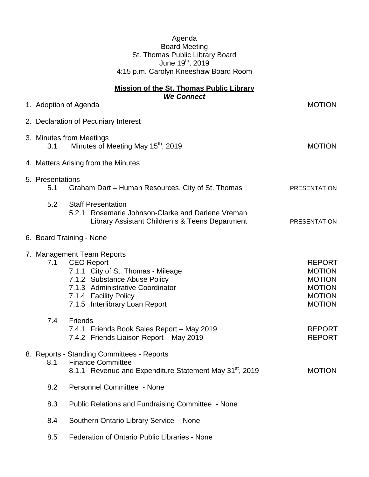|                                       | Agenda<br><b>Board Meeting</b><br>St. Thomas Public Library Board<br>June 19 <sup>th</sup> , 2019                                                                                                                    |                                                                                                    |  |
|---------------------------------------|----------------------------------------------------------------------------------------------------------------------------------------------------------------------------------------------------------------------|----------------------------------------------------------------------------------------------------|--|
| 4:15 p.m. Carolyn Kneeshaw Board Room |                                                                                                                                                                                                                      |                                                                                                    |  |
|                                       | <b>Mission of the St. Thomas Public Library</b><br><b>We Connect</b>                                                                                                                                                 |                                                                                                    |  |
|                                       | 1. Adoption of Agenda                                                                                                                                                                                                | <b>MOTION</b>                                                                                      |  |
| 2. Declaration of Pecuniary Interest  |                                                                                                                                                                                                                      |                                                                                                    |  |
| 3.1                                   | 3. Minutes from Meetings<br>Minutes of Meeting May 15 <sup>th</sup> , 2019                                                                                                                                           | <b>MOTION</b>                                                                                      |  |
| 4. Matters Arising from the Minutes   |                                                                                                                                                                                                                      |                                                                                                    |  |
| 5. Presentations<br>5.1               | Graham Dart - Human Resources, City of St. Thomas                                                                                                                                                                    | <b>PRESENTATION</b>                                                                                |  |
| 5.2                                   | <b>Staff Presentation</b><br>Rosemarie Johnson-Clarke and Darlene Vreman<br>5.2.1<br>Library Assistant Children's & Teens Department                                                                                 | <b>PRESENTATION</b>                                                                                |  |
|                                       | 6. Board Training - None                                                                                                                                                                                             |                                                                                                    |  |
| 7.1                                   | 7. Management Team Reports<br><b>CEO Report</b><br>7.1.1 City of St. Thomas - Mileage<br>7.1.2 Substance Abuse Policy<br>7.1.3 Administrative Coordinator<br>7.1.4 Facility Policy<br>7.1.5 Interlibrary Loan Report | <b>REPORT</b><br><b>MOTION</b><br><b>MOTION</b><br><b>MOTION</b><br><b>MOTION</b><br><b>MOTION</b> |  |
| 7.4                                   | <b>Friends</b><br>7.4.1 Friends Book Sales Report - May 2019<br>7.4.2 Friends Liaison Report - May 2019                                                                                                              | <b>REPORT</b><br><b>REPORT</b>                                                                     |  |
| 8.1                                   | 8. Reports - Standing Committees - Reports<br><b>Finance Committee</b><br>8.1.1 Revenue and Expenditure Statement May 31 <sup>st</sup> , 2019                                                                        | <b>MOTION</b>                                                                                      |  |
| 8.2                                   | Personnel Committee - None                                                                                                                                                                                           |                                                                                                    |  |
| 8.3                                   | <b>Public Relations and Fundraising Committee - None</b>                                                                                                                                                             |                                                                                                    |  |

- 8.4 Southern Ontario Library Service None
- 8.5 Federation of Ontario Public Libraries None